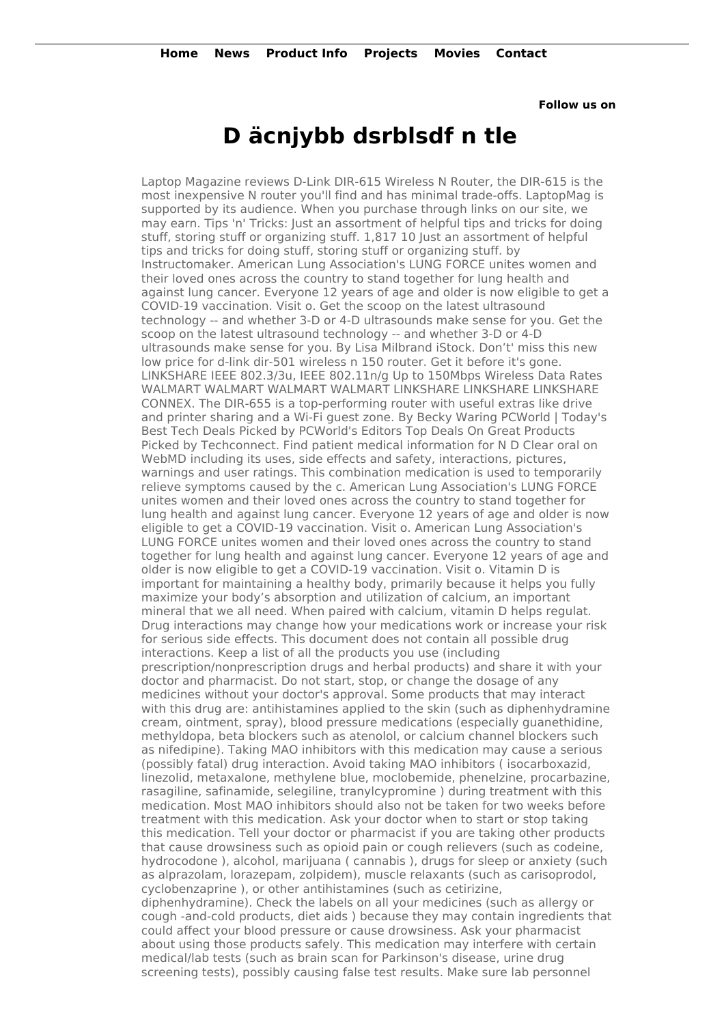**Follow us on**

## **D äcnjybb dsrblsdf n tle**

Laptop Magazine reviews D-Link DIR-615 Wireless N Router, the DIR-615 is the most inexpensive N router you'll find and has minimal trade-offs. LaptopMag is supported by its audience. When you purchase through links on our site, we may earn. Tips 'n' Tricks: Just an assortment of helpful tips and tricks for doing stuff, storing stuff or organizing stuff. 1,817 10 Just an assortment of helpful tips and tricks for doing stuff, storing stuff or organizing stuff. by Instructomaker. American Lung Association's LUNG FORCE unites women and their loved ones across the country to stand together for lung health and against lung cancer. Everyone 12 years of age and older is now eligible to get a COVID-19 vaccination. Visit o. Get the scoop on the latest ultrasound technology -- and whether 3-D or 4-D ultrasounds make sense for you. Get the scoop on the latest ultrasound technology -- and whether 3-D or 4-D ultrasounds make sense for you. By Lisa Milbrand iStock. Don't' miss this new low price for d-link dir-501 wireless n 150 router. Get it before it's gone. LINKSHARE IEEE 802.3/3u, IEEE 802.11n/g Up to 150Mbps Wireless Data Rates WALMART WALMART WALMART WALMART LINKSHARE LINKSHARE LINKSHARE CONNEX. The DIR-655 is a top-performing router with useful extras like drive and printer sharing and a Wi-Fi guest zone. By Becky Waring PCWorld | Today's Best Tech Deals Picked by PCWorld's Editors Top Deals On Great Products Picked by Techconnect. Find patient medical information for N D Clear oral on WebMD including its uses, side effects and safety, interactions, pictures, warnings and user ratings. This combination medication is used to temporarily relieve symptoms caused by the c. American Lung Association's LUNG FORCE unites women and their loved ones across the country to stand together for lung health and against lung cancer. Everyone 12 years of age and older is now eligible to get a COVID-19 vaccination. Visit o. American Lung Association's LUNG FORCE unites women and their loved ones across the country to stand together for lung health and against lung cancer. Everyone 12 years of age and older is now eligible to get a COVID-19 vaccination. Visit o. Vitamin D is important for maintaining a healthy body, primarily because it helps you fully maximize your body's absorption and utilization of calcium, an important mineral that we all need. When paired with calcium, vitamin D helps regulat. Drug interactions may change how your medications work or increase your risk for serious side effects. This document does not contain all possible drug interactions. Keep a list of all the products you use (including prescription/nonprescription drugs and herbal products) and share it with your doctor and pharmacist. Do not start, stop, or change the dosage of any medicines without your doctor's approval. Some products that may interact with this drug are: antihistamines applied to the skin (such as diphenhydramine cream, ointment, spray), blood pressure medications (especially guanethidine, methyldopa, beta blockers such as atenolol, or calcium channel blockers such as nifedipine). Taking MAO inhibitors with this medication may cause a serious (possibly fatal) drug interaction. Avoid taking MAO inhibitors ( isocarboxazid, linezolid, metaxalone, methylene blue, moclobemide, phenelzine, procarbazine, rasagiline, safinamide, selegiline, tranylcypromine ) during treatment with this medication. Most MAO inhibitors should also not be taken for two weeks before treatment with this medication. Ask your doctor when to start or stop taking this medication. Tell your doctor or pharmacist if you are taking other products that cause drowsiness such as opioid pain or cough relievers (such as codeine, hydrocodone ), alcohol, marijuana ( cannabis ), drugs for sleep or anxiety (such as alprazolam, lorazepam, zolpidem), muscle relaxants (such as carisoprodol, cyclobenzaprine ), or other antihistamines (such as cetirizine, diphenhydramine). Check the labels on all your medicines (such as allergy or cough -and-cold products, diet aids ) because they may contain ingredients that could affect your blood pressure or cause drowsiness. Ask your pharmacist about using those products safely. This medication may interfere with certain medical/lab tests (such as brain scan for Parkinson's disease, urine drug screening tests), possibly causing false test results. Make sure lab personnel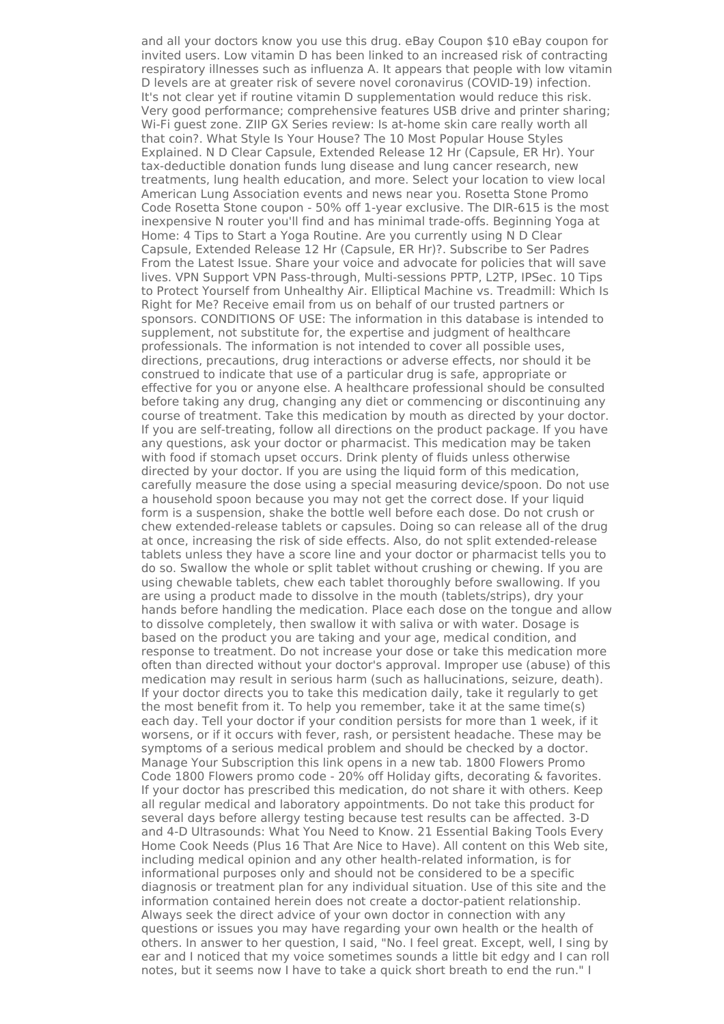and all your doctors know you use this drug. eBay Coupon \$10 eBay coupon for invited users. Low vitamin D has been linked to an increased risk of contracting respiratory illnesses such as influenza A. It appears that people with low vitamin D levels are at greater risk of severe novel coronavirus (COVID-19) infection. It's not clear yet if routine vitamin D supplementation would reduce this risk. Very good performance; comprehensive features USB drive and printer sharing; Wi-Fi guest zone. ZIIP GX Series review: Is at-home skin care really worth all that coin?. What Style Is Your House? The 10 Most Popular House Styles Explained. N D Clear Capsule, Extended Release 12 Hr (Capsule, ER Hr). Your tax-deductible donation funds lung disease and lung cancer research, new treatments, lung health education, and more. Select your location to view local American Lung Association events and news near you. Rosetta Stone Promo Code Rosetta Stone coupon - 50% off 1-year exclusive. The DIR-615 is the most inexpensive N router you'll find and has minimal trade-offs. Beginning Yoga at Home: 4 Tips to Start a Yoga Routine. Are you currently using N D Clear Capsule, Extended Release 12 Hr (Capsule, ER Hr)?. Subscribe to Ser Padres From the Latest Issue. Share your voice and advocate for policies that will save lives. VPN Support VPN Pass-through, Multi-sessions PPTP, L2TP, IPSec. 10 Tips to Protect Yourself from Unhealthy Air. Elliptical Machine vs. Treadmill: Which Is Right for Me? Receive email from us on behalf of our trusted partners or sponsors. CONDITIONS OF USE: The information in this database is intended to supplement, not substitute for, the expertise and judgment of healthcare professionals. The information is not intended to cover all possible uses, directions, precautions, drug interactions or adverse effects, nor should it be construed to indicate that use of a particular drug is safe, appropriate or effective for you or anyone else. A healthcare professional should be consulted before taking any drug, changing any diet or commencing or discontinuing any course of treatment. Take this medication by mouth as directed by your doctor. If you are self-treating, follow all directions on the product package. If you have any questions, ask your doctor or pharmacist. This medication may be taken with food if stomach upset occurs. Drink plenty of fluids unless otherwise directed by your doctor. If you are using the liquid form of this medication, carefully measure the dose using a special measuring device/spoon. Do not use a household spoon because you may not get the correct dose. If your liquid form is a suspension, shake the bottle well before each dose. Do not crush or chew extended-release tablets or capsules. Doing so can release all of the drug at once, increasing the risk of side effects. Also, do not split extended-release tablets unless they have a score line and your doctor or pharmacist tells you to do so. Swallow the whole or split tablet without crushing or chewing. If you are using chewable tablets, chew each tablet thoroughly before swallowing. If you are using a product made to dissolve in the mouth (tablets/strips), dry your hands before handling the medication. Place each dose on the tongue and allow to dissolve completely, then swallow it with saliva or with water. Dosage is based on the product you are taking and your age, medical condition, and response to treatment. Do not increase your dose or take this medication more often than directed without your doctor's approval. Improper use (abuse) of this medication may result in serious harm (such as hallucinations, seizure, death). If your doctor directs you to take this medication daily, take it regularly to get the most benefit from it. To help you remember, take it at the same time(s) each day. Tell your doctor if your condition persists for more than 1 week, if it worsens, or if it occurs with fever, rash, or persistent headache. These may be symptoms of a serious medical problem and should be checked by a doctor. Manage Your Subscription this link opens in a new tab. 1800 Flowers Promo Code 1800 Flowers promo code - 20% off Holiday gifts, decorating & favorites. If your doctor has prescribed this medication, do not share it with others. Keep all regular medical and laboratory appointments. Do not take this product for several days before allergy testing because test results can be affected. 3-D and 4-D Ultrasounds: What You Need to Know. 21 Essential Baking Tools Every Home Cook Needs (Plus 16 That Are Nice to Have). All content on this Web site, including medical opinion and any other health-related information, is for informational purposes only and should not be considered to be a specific diagnosis or treatment plan for any individual situation. Use of this site and the information contained herein does not create a doctor-patient relationship. Always seek the direct advice of your own doctor in connection with any questions or issues you may have regarding your own health or the health of others. In answer to her question, I said, "No. I feel great. Except, well, I sing by ear and I noticed that my voice sometimes sounds a little bit edgy and I can roll notes, but it seems now I have to take a quick short breath to end the run." I